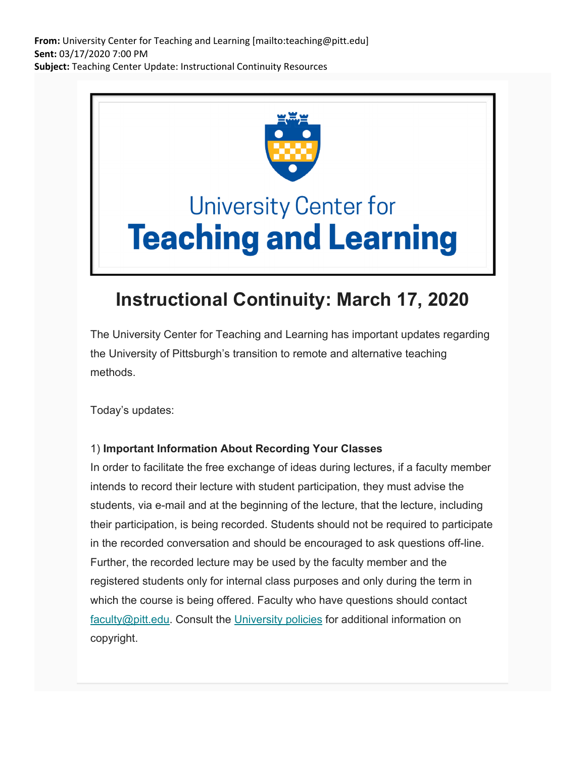**From:** University Center for Teaching and Learning [mailto:teaching@pitt.edu] **Sent:** 03/17/2020 7:00 PM **Subject:** Teaching Center Update: Instructional Continuity Resources



# **University Center for Teaching and Learning**

# **Instructional Continuity: March 17, 2020**

The University Center for Teaching and Learning has important updates regarding the University of Pittsburgh's transition to remote and alternative teaching methods.

Today's updates:

## 1) **Important Information About Recording Your Classes**

In order to facilitate the free exchange of ideas during lectures, if a faculty member intends to record their lecture with student participation, they must advise the students, via e-mail and at the beginning of the lecture, that the lecture, including their participation, is being recorded. Students should not be required to participate in the recorded conversation and should be encouraged to ask questions off-line. Further, the recorded lecture may be used by the faculty member and the registered students only for internal class purposes and only during the term in which the course is being offered. Faculty who have questions should contact faculty@pitt.edu. Consult the University policies for additional information on copyright.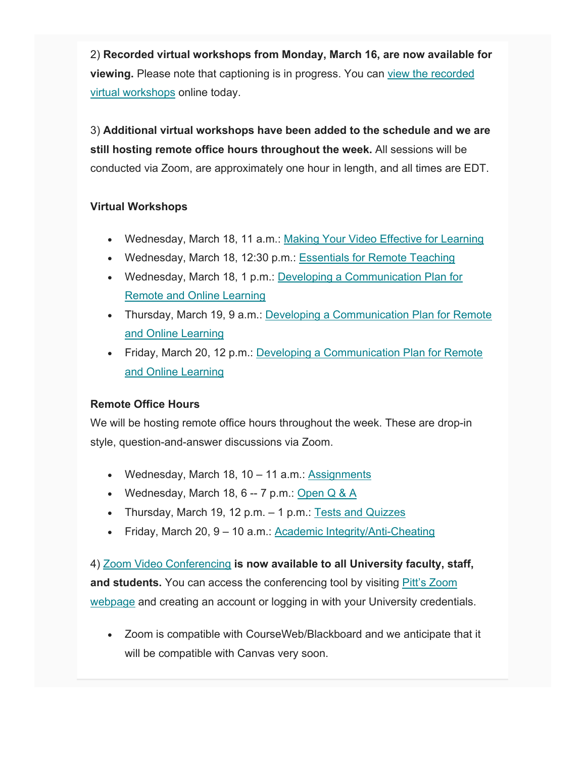2) **Recorded virtual workshops from Monday, March 16, are now available for viewing.** Please note that captioning is in progress. You can view the recorded virtual workshops online today.

3) **Additional virtual workshops have been added to the schedule and we are still hosting remote office hours throughout the week.** All sessions will be conducted via Zoom, are approximately one hour in length, and all times are EDT.

### **Virtual Workshops**

- Wednesday, March 18, 11 a.m.: Making Your Video Effective for Learning
- Wednesday, March 18, 12:30 p.m.: Essentials for Remote Teaching
- Wednesday, March 18, 1 p.m.: Developing a Communication Plan for Remote and Online Learning
- Thursday, March 19, 9 a.m.: Developing a Communication Plan for Remote and Online Learning
- Friday, March 20, 12 p.m.: Developing a Communication Plan for Remote and Online Learning

#### **Remote Office Hours**

We will be hosting remote office hours throughout the week. These are drop-in style, question-and-answer discussions via Zoom.

- Wednesday, March 18,  $10 11$  a.m.: Assignments
- Wednesday, March 18,  $6 7$  p.m.: Open Q & A
- Thursday, March 19, 12 p.m. 1 p.m.: Tests and Quizzes
- Friday, March 20, 9 10 a.m.: Academic Integrity/Anti-Cheating

4) Zoom Video Conferencing **is now available to all University faculty, staff, and students.** You can access the conferencing tool by visiting Pitt's Zoom webpage and creating an account or logging in with your University credentials.

 Zoom is compatible with CourseWeb/Blackboard and we anticipate that it will be compatible with Canvas very soon.